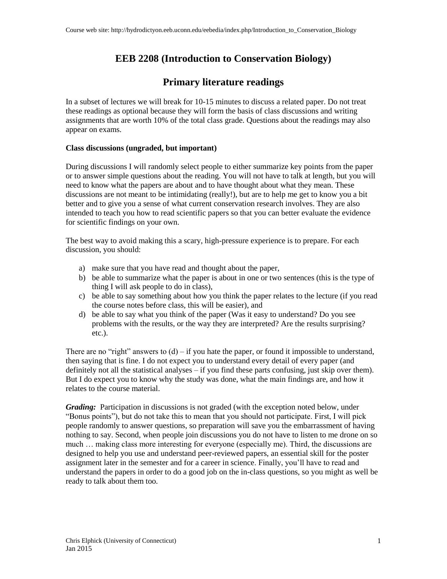# **EEB 2208 (Introduction to Conservation Biology)**

## **Primary literature readings**

In a subset of lectures we will break for 10-15 minutes to discuss a related paper. Do not treat these readings as optional because they will form the basis of class discussions and writing assignments that are worth 10% of the total class grade. Questions about the readings may also appear on exams.

#### **Class discussions (ungraded, but important)**

During discussions I will randomly select people to either summarize key points from the paper or to answer simple questions about the reading. You will not have to talk at length, but you will need to know what the papers are about and to have thought about what they mean. These discussions are not meant to be intimidating (really!), but are to help me get to know you a bit better and to give you a sense of what current conservation research involves. They are also intended to teach you how to read scientific papers so that you can better evaluate the evidence for scientific findings on your own.

The best way to avoid making this a scary, high-pressure experience is to prepare. For each discussion, you should:

- a) make sure that you have read and thought about the paper,
- b) be able to summarize what the paper is about in one or two sentences (this is the type of thing I will ask people to do in class),
- c) be able to say something about how you think the paper relates to the lecture (if you read the course notes before class, this will be easier), and
- d) be able to say what you think of the paper (Was it easy to understand? Do you see problems with the results, or the way they are interpreted? Are the results surprising? etc.).

There are no "right" answers to  $(d)$  – if you hate the paper, or found it impossible to understand, then saying that is fine. I do not expect you to understand every detail of every paper (and definitely not all the statistical analyses – if you find these parts confusing, just skip over them). But I do expect you to know why the study was done, what the main findings are, and how it relates to the course material.

*Grading:* Participation in discussions is not graded (with the exception noted below, under "Bonus points"), but do not take this to mean that you should not participate. First, I will pick people randomly to answer questions, so preparation will save you the embarrassment of having nothing to say. Second, when people join discussions you do not have to listen to me drone on so much … making class more interesting for everyone (especially me). Third, the discussions are designed to help you use and understand peer-reviewed papers, an essential skill for the poster assignment later in the semester and for a career in science. Finally, you'll have to read and understand the papers in order to do a good job on the in-class questions, so you might as well be ready to talk about them too.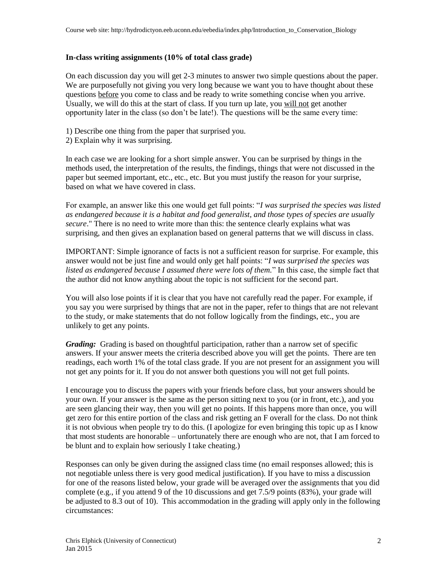### **In-class writing assignments (10% of total class grade)**

On each discussion day you will get 2-3 minutes to answer two simple questions about the paper. We are purposefully not giving you very long because we want you to have thought about these questions before you come to class and be ready to write something concise when you arrive. Usually, we will do this at the start of class. If you turn up late, you will not get another opportunity later in the class (so don't be late!). The questions will be the same every time:

- 1) Describe one thing from the paper that surprised you.
- 2) Explain why it was surprising.

In each case we are looking for a short simple answer. You can be surprised by things in the methods used, the interpretation of the results, the findings, things that were not discussed in the paper but seemed important, etc., etc., etc. But you must justify the reason for your surprise, based on what we have covered in class.

For example, an answer like this one would get full points: "*I was surprised the species was listed as endangered because it is a habitat and food generalist, and those types of species are usually secure*." There is no need to write more than this: the sentence clearly explains what was surprising, and then gives an explanation based on general patterns that we will discuss in class.

IMPORTANT: Simple ignorance of facts is not a sufficient reason for surprise. For example, this answer would not be just fine and would only get half points: "*I was surprised the species was listed as endangered because I assumed there were lots of them.*" In this case, the simple fact that the author did not know anything about the topic is not sufficient for the second part.

You will also lose points if it is clear that you have not carefully read the paper. For example, if you say you were surprised by things that are not in the paper, refer to things that are not relevant to the study, or make statements that do not follow logically from the findings, etc., you are unlikely to get any points.

*Grading:* Grading is based on thoughtful participation, rather than a narrow set of specific answers. If your answer meets the criteria described above you will get the points. There are ten readings, each worth 1% of the total class grade. If you are not present for an assignment you will not get any points for it. If you do not answer both questions you will not get full points.

I encourage you to discuss the papers with your friends before class, but your answers should be your own. If your answer is the same as the person sitting next to you (or in front, etc.), and you are seen glancing their way, then you will get no points. If this happens more than once, you will get zero for this entire portion of the class and risk getting an F overall for the class. Do not think it is not obvious when people try to do this. (I apologize for even bringing this topic up as I know that most students are honorable – unfortunately there are enough who are not, that I am forced to be blunt and to explain how seriously I take cheating.)

Responses can only be given during the assigned class time (no email responses allowed; this is not negotiable unless there is very good medical justification). If you have to miss a discussion for one of the reasons listed below, your grade will be averaged over the assignments that you did complete (e.g., if you attend 9 of the 10 discussions and get 7.5/9 points (83%), your grade will be adjusted to 8.3 out of 10). This accommodation in the grading will apply only in the following circumstances: